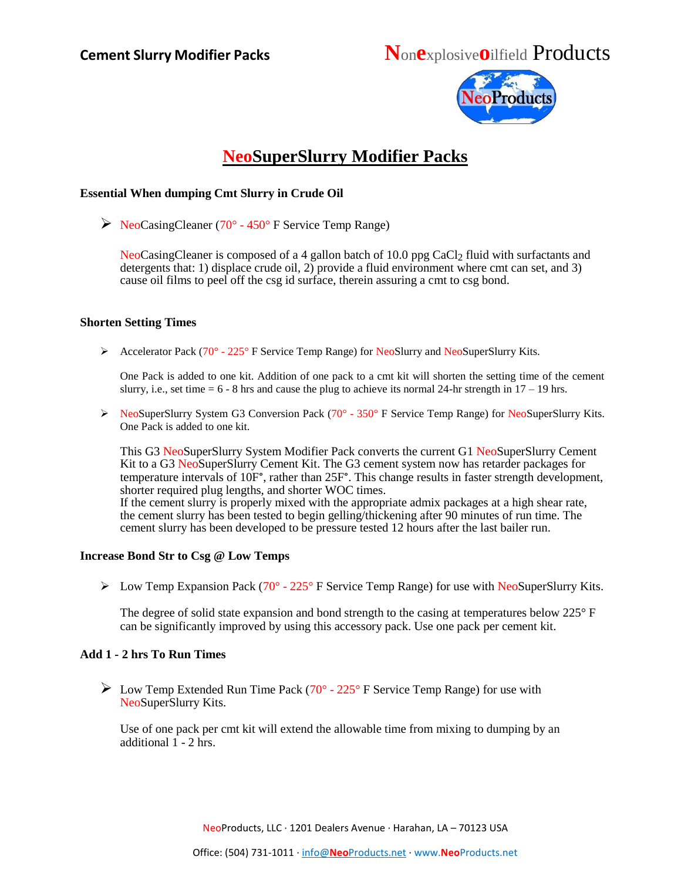

## **NeoSuperSlurry Modifier Packs**

### **Essential When dumping Cmt Slurry in Crude Oil**

 $\triangleright$  NeoCasingCleaner (70° - 450° F Service Temp Range)

NeoCasingCleaner is composed of a 4 gallon batch of 10.0 ppg CaCl<sub>2</sub> fluid with surfactants and detergents that: 1) displace crude oil, 2) provide a fluid environment where cmt can set, and 3) cause oil films to peel off the csg id surface, therein assuring a cmt to csg bond.

### **Shorten Setting Times**

Accelerator Pack (70 $^{\circ}$  - 225 $^{\circ}$  F Service Temp Range) for NeoSlurry and NeoSuperSlurry Kits.

One Pack is added to one kit. Addition of one pack to a cmt kit will shorten the setting time of the cement slurry, i.e., set time  $= 6 - 8$  hrs and cause the plug to achieve its normal 24-hr strength in  $17 - 19$  hrs.

▶ NeoSuperSlurry System G3 Conversion Pack (70° - 350° F Service Temp Range) for NeoSuperSlurry Kits. One Pack is added to one kit.

This G3 NeoSuperSlurry System Modifier Pack converts the current G1 NeoSuperSlurry Cement Kit to a G3 NeoSuperSlurry Cement Kit. The G3 cement system now has retarder packages for temperature intervals of 10F°, rather than 25F°. This change results in faster strength development, shorter required plug lengths, and shorter WOC times. If the cement slurry is properly mixed with the appropriate admix packages at a high shear rate, the cement slurry has been tested to begin gelling/thickening after 90 minutes of run time. The cement slurry has been developed to be pressure tested 12 hours after the last bailer run.

### **Increase Bond Str to Csg @ Low Temps**

 $\triangleright$  Low Temp Expansion Pack (70° - 225° F Service Temp Range) for use with NeoSuperSlurry Kits.

The degree of solid state expansion and bond strength to the casing at temperatures below 225° F can be significantly improved by using this accessory pack. Use one pack per cement kit.

### **Add 1 - 2 hrs To Run Times**

 $\triangleright$  Low Temp Extended Run Time Pack (70° - 225° F Service Temp Range) for use with NeoSuperSlurry Kits.

Use of one pack per cmt kit will extend the allowable time from mixing to dumping by an additional 1 - 2 hrs.

NeoProducts, LLC ∙ 1201 Dealers Avenue ∙ Harahan, LA – 70123 USA